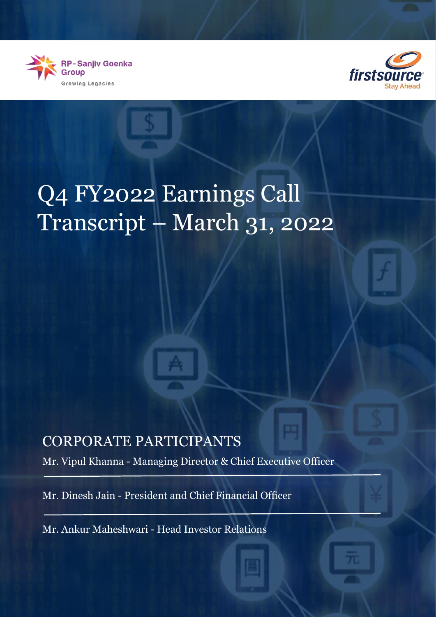



# Q4 FY2022 Earnings Call Transcript – March 31, 2022

# CORPORATE PARTICIPANTS

Mr. Vipul Khanna - Managing Director & Chief Executive Officer

Mr. Dinesh Jain - President and Chief Financial Officer

Mr. Ankur Maheshwari - Head Investor Relations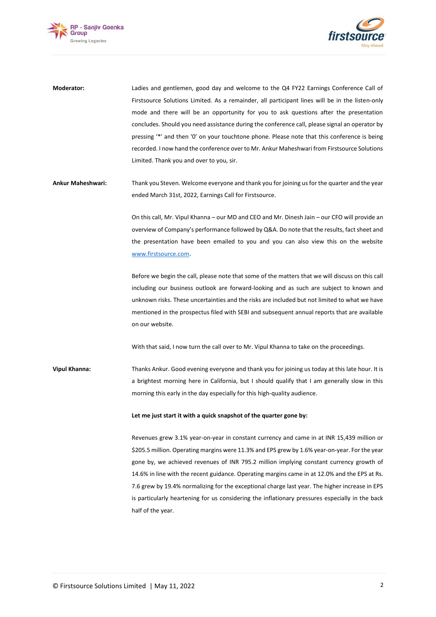



**Moderator:** Ladies and gentlemen, good day and welcome to the Q4 FY22 Earnings Conference Call of Firstsource Solutions Limited. As a remainder, all participant lines will be in the listen-only mode and there will be an opportunity for you to ask questions after the presentation concludes. Should you need assistance during the conference call, please signal an operator by pressing '\*' and then '0' on your touchtone phone. Please note that this conference is being recorded. I now hand the conference over to Mr. Ankur Maheshwari from Firstsource Solutions Limited. Thank you and over to you, sir.

**Ankur Maheshwari:** Thank you Steven. Welcome everyone and thank you for joining us for the quarter and the year ended March 31st, 2022, Earnings Call for Firstsource.

> On this call, Mr. Vipul Khanna – our MD and CEO and Mr. Dinesh Jain – our CFO will provide an overview of Company's performance followed by Q&A. Do note that the results, fact sheet and the presentation have been emailed to you and you can also view this on the website [www.firstsource.com.](http://www.firstsource.com/)

> Before we begin the call, please note that some of the matters that we will discuss on this call including our business outlook are forward-looking and as such are subject to known and unknown risks. These uncertainties and the risks are included but not limited to what we have mentioned in the prospectus filed with SEBI and subsequent annual reports that are available on our website.

With that said, I now turn the call over to Mr. Vipul Khanna to take on the proceedings.

**Vipul Khanna:** Thanks Ankur. Good evening everyone and thank you for joining us today at this late hour. It is a brightest morning here in California, but I should qualify that I am generally slow in this morning this early in the day especially for this high-quality audience.

## **Let me just start it with a quick snapshot of the quarter gone by:**

Revenues grew 3.1% year-on-year in constant currency and came in at INR 15,439 million or \$205.5 million. Operating margins were 11.3% and EPS grew by 1.6% year-on-year. For the year gone by, we achieved revenues of INR 795.2 million implying constant currency growth of 14.6% in line with the recent guidance. Operating margins came in at 12.0% and the EPS at Rs. 7.6 grew by 19.4% normalizing for the exceptional charge last year. The higher increase in EPS is particularly heartening for us considering the inflationary pressures especially in the back half of the year.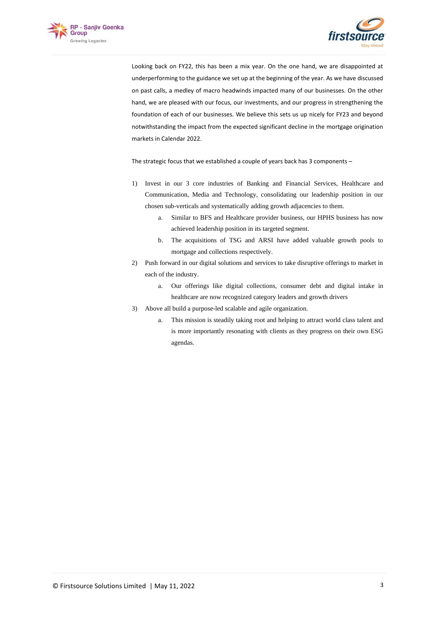



Looking back on FY22, this has been a mix year. On the one hand, we are disappointed at underperforming to the guidance we set up at the beginning of the year. As we have discussed on past calls, a medley of macro headwinds impacted many of our businesses. On the other hand, we are pleased with our focus, our investments, and our progress in strengthening the foundation of each of our businesses. We believe this sets us up nicely for FY23 and beyond notwithstanding the impact from the expected significant decline in the mortgage origination markets in Calendar 2022.

The strategic focus that we established a couple of years back has 3 components –

- 1) Invest in our 3 core industries of Banking and Financial Services, Healthcare and Communication, Media and Technology, consolidating our leadership position in our chosen sub-verticals and systematically adding growth adjacencies to them.
	- a. Similar to BFS and Healthcare provider business, our HPHS business has now achieved leadership position in its targeted segment.
	- b. The acquisitions of TSG and ARSI have added valuable growth pools to mortgage and collections respectively.
- 2) Push forward in our digital solutions and services to take disruptive offerings to market in each of the industry.
	- a. Our offerings like digital collections, consumer debt and digital intake in healthcare are now recognized category leaders and growth drivers
- 3) Above all build a purpose-led scalable and agile organization.
	- a. This mission is steadily taking root and helping to attract world class talent and is more importantly resonating with clients as they progress on their own ESG agendas.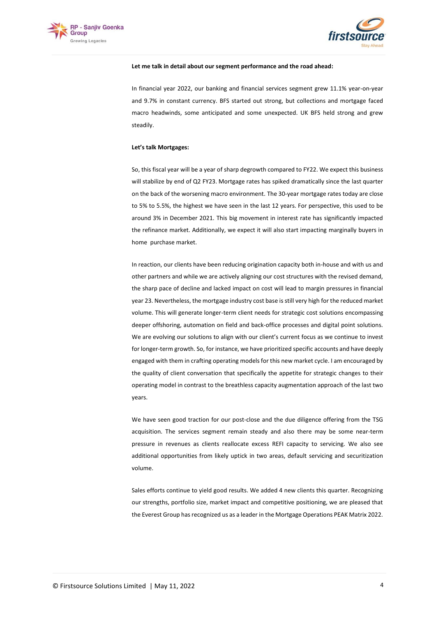



#### **Let me talk in detail about our segment performance and the road ahead:**

In financial year 2022, our banking and financial services segment grew 11.1% year-on-year and 9.7% in constant currency. BFS started out strong, but collections and mortgage faced macro headwinds, some anticipated and some unexpected. UK BFS held strong and grew steadily.

### **Let's talk Mortgages:**

So, this fiscal year will be a year of sharp degrowth compared to FY22. We expect this business will stabilize by end of Q2 FY23. Mortgage rates has spiked dramatically since the last quarter on the back of the worsening macro environment. The 30-year mortgage rates today are close to 5% to 5.5%, the highest we have seen in the last 12 years. For perspective, this used to be around 3% in December 2021. This big movement in interest rate has significantly impacted the refinance market. Additionally, we expect it will also start impacting marginally buyers in home purchase market.

In reaction, our clients have been reducing origination capacity both in-house and with us and other partners and while we are actively aligning our cost structures with the revised demand, the sharp pace of decline and lacked impact on cost will lead to margin pressures in financial year 23. Nevertheless, the mortgage industry cost base is still very high for the reduced market volume. This will generate longer-term client needs for strategic cost solutions encompassing deeper offshoring, automation on field and back-office processes and digital point solutions. We are evolving our solutions to align with our client's current focus as we continue to invest for longer-term growth. So, for instance, we have prioritized specific accounts and have deeply engaged with them in crafting operating models for this new market cycle. I am encouraged by the quality of client conversation that specifically the appetite for strategic changes to their operating model in contrast to the breathless capacity augmentation approach of the last two years.

We have seen good traction for our post-close and the due diligence offering from the TSG acquisition. The services segment remain steady and also there may be some near-term pressure in revenues as clients reallocate excess REFI capacity to servicing. We also see additional opportunities from likely uptick in two areas, default servicing and securitization volume.

Sales efforts continue to yield good results. We added 4 new clients this quarter. Recognizing our strengths, portfolio size, market impact and competitive positioning, we are pleased that the Everest Group has recognized us as a leader in the Mortgage Operations PEAK Matrix 2022.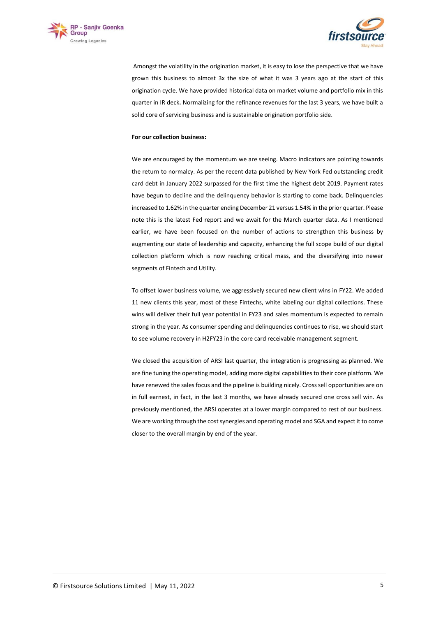



Amongst the volatility in the origination market, it is easy to lose the perspective that we have grown this business to almost 3x the size of what it was 3 years ago at the start of this origination cycle. We have provided historical data on market volume and portfolio mix in this quarter in IR deck**.** Normalizing for the refinance revenues for the last 3 years, we have built a solid core of servicing business and is sustainable origination portfolio side.

### **For our collection business:**

We are encouraged by the momentum we are seeing. Macro indicators are pointing towards the return to normalcy. As per the recent data published by New York Fed outstanding credit card debt in January 2022 surpassed for the first time the highest debt 2019. Payment rates have begun to decline and the delinquency behavior is starting to come back. Delinquencies increased to 1.62% in the quarter ending December 21 versus 1.54% in the prior quarter. Please note this is the latest Fed report and we await for the March quarter data. As I mentioned earlier, we have been focused on the number of actions to strengthen this business by augmenting our state of leadership and capacity, enhancing the full scope build of our digital collection platform which is now reaching critical mass, and the diversifying into newer segments of Fintech and Utility.

To offset lower business volume, we aggressively secured new client wins in FY22. We added 11 new clients this year, most of these Fintechs, white labeling our digital collections. These wins will deliver their full year potential in FY23 and sales momentum is expected to remain strong in the year. As consumer spending and delinquencies continues to rise, we should start to see volume recovery in H2FY23 in the core card receivable management segment.

We closed the acquisition of ARSI last quarter, the integration is progressing as planned. We are fine tuning the operating model, adding more digital capabilities to their core platform. We have renewed the sales focus and the pipeline is building nicely. Cross sell opportunities are on in full earnest, in fact, in the last 3 months, we have already secured one cross sell win. As previously mentioned, the ARSI operates at a lower margin compared to rest of our business. We are working through the cost synergies and operating model and SGA and expect it to come closer to the overall margin by end of the year.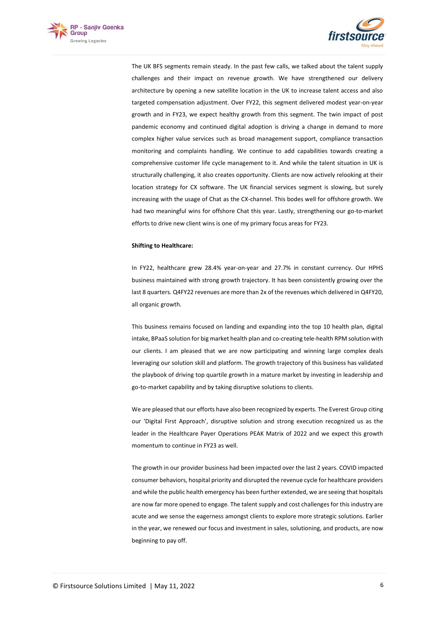



The UK BFS segments remain steady. In the past few calls, we talked about the talent supply challenges and their impact on revenue growth. We have strengthened our delivery architecture by opening a new satellite location in the UK to increase talent access and also targeted compensation adjustment. Over FY22, this segment delivered modest year-on-year growth and in FY23, we expect healthy growth from this segment. The twin impact of post pandemic economy and continued digital adoption is driving a change in demand to more complex higher value services such as broad management support, compliance transaction monitoring and complaints handling. We continue to add capabilities towards creating a comprehensive customer life cycle management to it. And while the talent situation in UK is structurally challenging, it also creates opportunity. Clients are now actively relooking at their location strategy for CX software. The UK financial services segment is slowing, but surely increasing with the usage of Chat as the CX-channel. This bodes well for offshore growth. We had two meaningful wins for offshore Chat this year. Lastly, strengthening our go-to-market efforts to drive new client wins is one of my primary focus areas for FY23.

#### **Shifting to Healthcare:**

In FY22, healthcare grew 28.4% year-on-year and 27.7% in constant currency. Our HPHS business maintained with strong growth trajectory. It has been consistently growing over the last 8 quarters. Q4FY22 revenues are more than 2x of the revenues which delivered in Q4FY20, all organic growth.

This business remains focused on landing and expanding into the top 10 health plan, digital intake, BPaaS solution for big market health plan and co-creating tele-health RPM solution with our clients. I am pleased that we are now participating and winning large complex deals leveraging our solution skill and platform. The growth trajectory of this business has validated the playbook of driving top quartile growth in a mature market by investing in leadership and go-to-market capability and by taking disruptive solutions to clients.

We are pleased that our efforts have also been recognized by experts. The Everest Group citing our 'Digital First Approach', disruptive solution and strong execution recognized us as the leader in the Healthcare Payer Operations PEAK Matrix of 2022 and we expect this growth momentum to continue in FY23 as well.

The growth in our provider business had been impacted over the last 2 years. COVID impacted consumer behaviors, hospital priority and disrupted the revenue cycle for healthcare providers and while the public health emergency has been further extended, we are seeing that hospitals are now far more opened to engage. The talent supply and cost challenges for this industry are acute and we sense the eagerness amongst clients to explore more strategic solutions. Earlier in the year, we renewed our focus and investment in sales, solutioning, and products, are now beginning to pay off.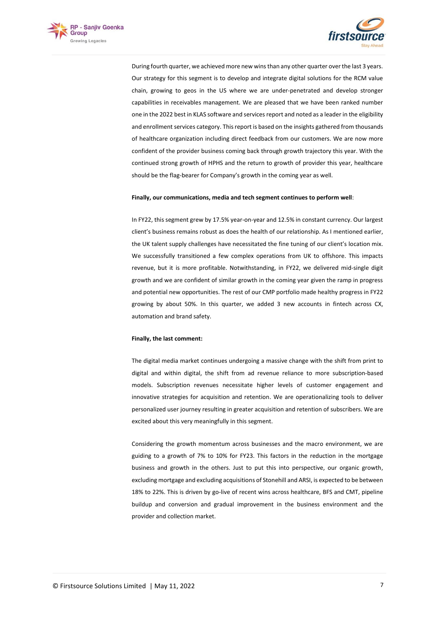



During fourth quarter, we achieved more new wins than any other quarter over the last 3 years. Our strategy for this segment is to develop and integrate digital solutions for the RCM value chain, growing to geos in the US where we are under-penetrated and develop stronger capabilities in receivables management. We are pleased that we have been ranked number one in the 2022 best in KLAS software and services report and noted as a leader in the eligibility and enrollment services category. This report is based on the insights gathered from thousands of healthcare organization including direct feedback from our customers. We are now more confident of the provider business coming back through growth trajectory this year. With the continued strong growth of HPHS and the return to growth of provider this year, healthcare should be the flag-bearer for Company's growth in the coming year as well.

#### **Finally, our communications, media and tech segment continues to perform well**:

In FY22, this segment grew by 17.5% year-on-year and 12.5% in constant currency. Our largest client's business remains robust as does the health of our relationship. As I mentioned earlier, the UK talent supply challenges have necessitated the fine tuning of our client's location mix. We successfully transitioned a few complex operations from UK to offshore. This impacts revenue, but it is more profitable. Notwithstanding, in FY22, we delivered mid-single digit growth and we are confident of similar growth in the coming year given the ramp in progress and potential new opportunities. The rest of our CMP portfolio made healthy progress in FY22 growing by about 50%. In this quarter, we added 3 new accounts in fintech across CX, automation and brand safety.

#### **Finally, the last comment:**

The digital media market continues undergoing a massive change with the shift from print to digital and within digital, the shift from ad revenue reliance to more subscription-based models. Subscription revenues necessitate higher levels of customer engagement and innovative strategies for acquisition and retention. We are operationalizing tools to deliver personalized user journey resulting in greater acquisition and retention of subscribers. We are excited about this very meaningfully in this segment.

Considering the growth momentum across businesses and the macro environment, we are guiding to a growth of 7% to 10% for FY23. This factors in the reduction in the mortgage business and growth in the others. Just to put this into perspective, our organic growth, excluding mortgage and excluding acquisitions of Stonehill and ARSI, is expected to be between 18% to 22%. This is driven by go-live of recent wins across healthcare, BFS and CMT, pipeline buildup and conversion and gradual improvement in the business environment and the provider and collection market.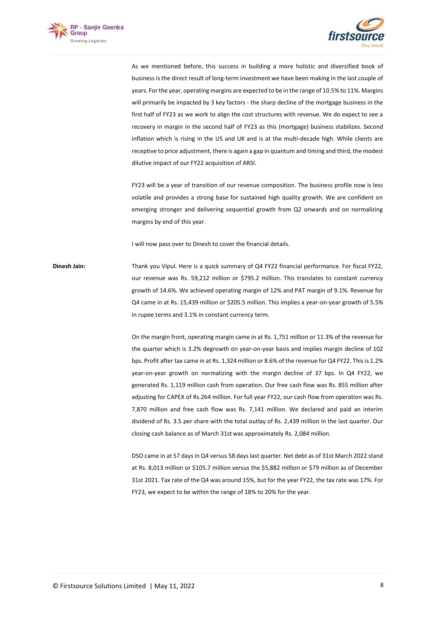



As we mentioned before, this success in building a more holistic and diversified book of business is the direct result of long-term investment we have been making in the last couple of years. For the year, operating margins are expected to be in the range of 10.5% to 11%. Margins will primarily be impacted by 3 key factors - the sharp decline of the mortgage business in the first half of FY23 as we work to align the cost structures with revenue. We do expect to see a recovery in margin in the second half of FY23 as this (mortgage) business stabilizes. Second inflation which is rising in the US and UK and is at the multi-decade high. While clients are receptive to price adjustment, there is again a gap in quantum and timing and third, the modest dilutive impact of our FY22 acquisition of ARSI.

FY23 will be a year of transition of our revenue composition. The business profile now is less volatile and provides a strong base for sustained high quality growth. We are confident on emerging stronger and delivering sequential growth from Q2 onwards and on normalizing margins by end of this year.

I will now pass over to Dinesh to cover the financial details.

**Dinesh Jain:** Thank you Vipul. Here is a quick summary of Q4 FY22 financial performance. For fiscal FY22, our revenue was Rs. 59,212 million or \$795.2 million. This translates to constant currency growth of 14.6%. We achieved operating margin of 12% and PAT margin of 9.1%. Revenue for Q4 came in at Rs. 15,439 million or \$205.5 million. This implies a year-on-year growth of 5.5% in rupee terms and 3.1% in constant currency term.

> On the margin front, operating margin came in at Rs. 1,751 million or 11.3% of the revenue for the quarter which is 3.2% degrowth on year-on-year basis and implies margin decline of 102 bps. Profit after tax came in at Rs. 1,324 million or 8.6% of the revenue for Q4 FY22. This is 1.2% year-on-year growth on normalizing with the margin decline of 37 bps. In Q4 FY22, we generated Rs. 1,119 million cash from operation. Our free cash flow was Rs. 855 million after adjusting for CAPEX of Rs.264 million. For full year FY22, our cash flow from operation was Rs. 7,870 million and free cash flow was Rs. 7,141 million. We declared and paid an interim dividend of Rs. 3.5 per share with the total outlay of Rs. 2,439 million in the last quarter. Our closing cash balance as of March 31st was approximately Rs. 2,084 million.

> DSO came in at 57 days in Q4 versus 58 days last quarter. Net debt as of 31st March 2022 stand at Rs. 8,013 million or \$105.7 million versus the \$5,882 million or \$79 million as of December 31st 2021. Tax rate of the Q4 was around 15%, but for the year FY22, the tax rate was 17%. For FY23, we expect to be within the range of 18% to 20% for the year.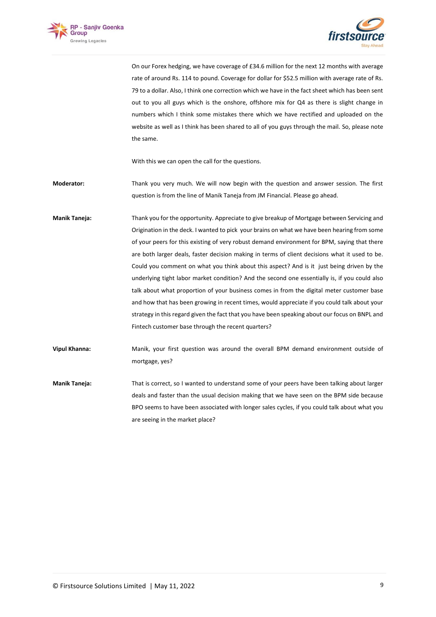



On our Forex hedging, we have coverage of £34.6 million for the next 12 months with average rate of around Rs. 114 to pound. Coverage for dollar for \$52.5 million with average rate of Rs. 79 to a dollar. Also, I think one correction which we have in the fact sheet which has been sent out to you all guys which is the onshore, offshore mix for Q4 as there is slight change in numbers which I think some mistakes there which we have rectified and uploaded on the website as well as I think has been shared to all of you guys through the mail. So, please note the same.

With this we can open the call for the questions.

**Moderator:** Thank you very much. We will now begin with the question and answer session. The first question is from the line of Manik Taneja from JM Financial. Please go ahead.

- **Manik Taneja:** Thank you for the opportunity. Appreciate to give breakup of Mortgage between Servicing and Origination in the deck. I wanted to pick your brains on what we have been hearing from some of your peers for this existing of very robust demand environment for BPM, saying that there are both larger deals, faster decision making in terms of client decisions what it used to be. Could you comment on what you think about this aspect? And is it just being driven by the underlying tight labor market condition? And the second one essentially is, if you could also talk about what proportion of your business comes in from the digital meter customer base and how that has been growing in recent times, would appreciate if you could talk about your strategy in this regard given the fact that you have been speaking about our focus on BNPL and Fintech customer base through the recent quarters?
- **Vipul Khanna:** Manik, your first question was around the overall BPM demand environment outside of mortgage, yes?
- **Manik Taneja:** That is correct, so I wanted to understand some of your peers have been talking about larger deals and faster than the usual decision making that we have seen on the BPM side because BPO seems to have been associated with longer sales cycles, if you could talk about what you are seeing in the market place?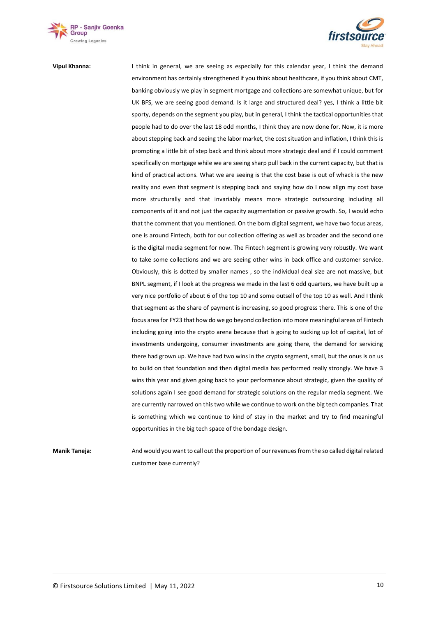



**Vipul Khanna:** I think in general, we are seeing as especially for this calendar year, I think the demand environment has certainly strengthened if you think about healthcare, if you think about CMT, banking obviously we play in segment mortgage and collections are somewhat unique, but for UK BFS, we are seeing good demand. Is it large and structured deal? yes, I think a little bit sporty, depends on the segment you play, but in general, I think the tactical opportunities that people had to do over the last 18 odd months, I think they are now done for. Now, it is more about stepping back and seeing the labor market, the cost situation and inflation, I think this is prompting a little bit of step back and think about more strategic deal and if I could comment specifically on mortgage while we are seeing sharp pull back in the current capacity, but that is kind of practical actions. What we are seeing is that the cost base is out of whack is the new reality and even that segment is stepping back and saying how do I now align my cost base more structurally and that invariably means more strategic outsourcing including all components of it and not just the capacity augmentation or passive growth. So, I would echo that the comment that you mentioned. On the born digital segment, we have two focus areas, one is around Fintech, both for our collection offering as well as broader and the second one is the digital media segment for now. The Fintech segment is growing very robustly. We want to take some collections and we are seeing other wins in back office and customer service. Obviously, this is dotted by smaller names , so the individual deal size are not massive, but BNPL segment, if I look at the progress we made in the last 6 odd quarters, we have built up a very nice portfolio of about 6 of the top 10 and some outsell of the top 10 as well. And I think that segment as the share of payment is increasing, so good progress there. This is one of the focus area for FY23 that how do we go beyond collection into more meaningful areas of Fintech including going into the crypto arena because that is going to sucking up lot of capital, lot of investments undergoing, consumer investments are going there, the demand for servicing there had grown up. We have had two wins in the crypto segment, small, but the onus is on us to build on that foundation and then digital media has performed really strongly. We have 3 wins this year and given going back to your performance about strategic, given the quality of solutions again I see good demand for strategic solutions on the regular media segment. We are currently narrowed on this two while we continue to work on the big tech companies. That is something which we continue to kind of stay in the market and try to find meaningful opportunities in the big tech space of the bondage design.

**Manik Taneja:** And would you want to call out the proportion of our revenues from the so called digital related customer base currently?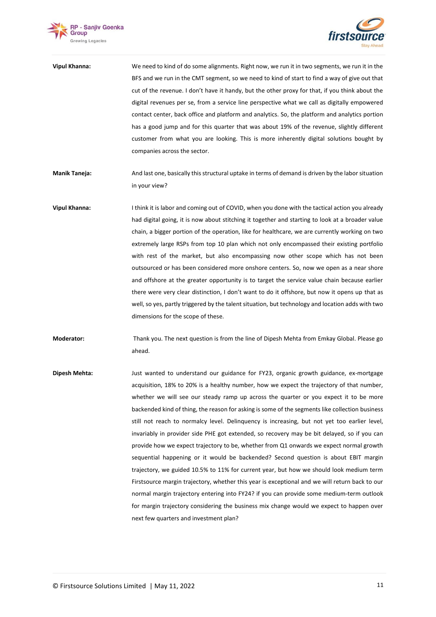



| Vipul Khanna: | We need to kind of do some alignments. Right now, we run it in two segments, we run it in the   |
|---------------|-------------------------------------------------------------------------------------------------|
|               | BFS and we run in the CMT segment, so we need to kind of start to find a way of give out that   |
|               | cut of the revenue. I don't have it handy, but the other proxy for that, if you think about the |
|               | digital revenues per se, from a service line perspective what we call as digitally empowered    |
|               | contact center, back office and platform and analytics. So, the platform and analytics portion  |
|               | has a good jump and for this quarter that was about 19% of the revenue, slightly different      |
|               | customer from what you are looking. This is more inherently digital solutions bought by         |
|               | companies across the sector.                                                                    |

- **Manik Taneja:** And last one, basically this structural uptake in terms of demand is driven by the labor situation in your view?
- **Vipul Khanna:** I think it is labor and coming out of COVID, when you done with the tactical action you already had digital going, it is now about stitching it together and starting to look at a broader value chain, a bigger portion of the operation, like for healthcare, we are currently working on two extremely large RSPs from top 10 plan which not only encompassed their existing portfolio with rest of the market, but also encompassing now other scope which has not been outsourced or has been considered more onshore centers. So, now we open as a near shore and offshore at the greater opportunity is to target the service value chain because earlier there were very clear distinction, I don't want to do it offshore, but now it opens up that as well, so yes, partly triggered by the talent situation, but technology and location adds with two dimensions for the scope of these.
- **Moderator:** Thank you. The next question is from the line of Dipesh Mehta from Emkay Global. Please go ahead.
- **Dipesh Mehta:** Just wanted to understand our guidance for FY23, organic growth guidance, ex-mortgage acquisition, 18% to 20% is a healthy number, how we expect the trajectory of that number, whether we will see our steady ramp up across the quarter or you expect it to be more backended kind of thing, the reason for asking is some of the segments like collection business still not reach to normalcy level. Delinquency is increasing, but not yet too earlier level, invariably in provider side PHE got extended, so recovery may be bit delayed, so if you can provide how we expect trajectory to be, whether from Q1 onwards we expect normal growth sequential happening or it would be backended? Second question is about EBIT margin trajectory, we guided 10.5% to 11% for current year, but how we should look medium term Firstsource margin trajectory, whether this year is exceptional and we will return back to our normal margin trajectory entering into FY24? if you can provide some medium-term outlook for margin trajectory considering the business mix change would we expect to happen over next few quarters and investment plan?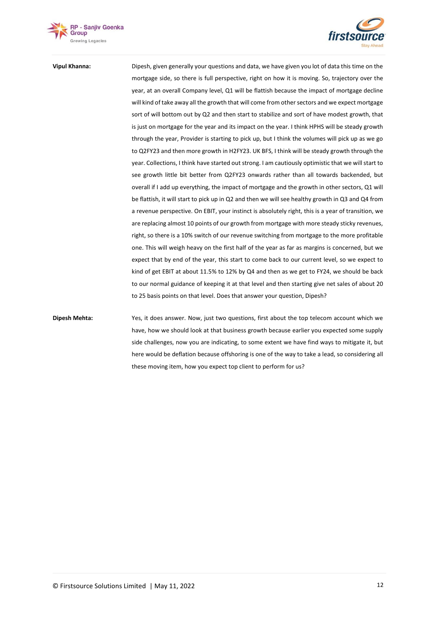



**Vipul Khanna:** Dipesh, given generally your questions and data, we have given you lot of data this time on the mortgage side, so there is full perspective, right on how it is moving. So, trajectory over the year, at an overall Company level, Q1 will be flattish because the impact of mortgage decline will kind of take away all the growth that will come from other sectors and we expect mortgage sort of will bottom out by Q2 and then start to stabilize and sort of have modest growth, that is just on mortgage for the year and its impact on the year. I think HPHS will be steady growth through the year, Provider is starting to pick up, but I think the volumes will pick up as we go to Q2FY23 and then more growth in H2FY23. UK BFS, I think will be steady growth through the year. Collections, I think have started out strong. I am cautiously optimistic that we will start to see growth little bit better from Q2FY23 onwards rather than all towards backended, but overall if I add up everything, the impact of mortgage and the growth in other sectors, Q1 will be flattish, it will start to pick up in Q2 and then we will see healthy growth in Q3 and Q4 from a revenue perspective. On EBIT, your instinct is absolutely right, this is a year of transition, we are replacing almost 10 points of our growth from mortgage with more steady sticky revenues, right, so there is a 10% switch of our revenue switching from mortgage to the more profitable one. This will weigh heavy on the first half of the year as far as margins is concerned, but we expect that by end of the year, this start to come back to our current level, so we expect to kind of get EBIT at about 11.5% to 12% by Q4 and then as we get to FY24, we should be back to our normal guidance of keeping it at that level and then starting give net sales of about 20 to 25 basis points on that level. Does that answer your question, Dipesh?

**Dipesh Mehta:** Yes, it does answer. Now, just two questions, first about the top telecom account which we have, how we should look at that business growth because earlier you expected some supply side challenges, now you are indicating, to some extent we have find ways to mitigate it, but here would be deflation because offshoring is one of the way to take a lead, so considering all these moving item, how you expect top client to perform for us?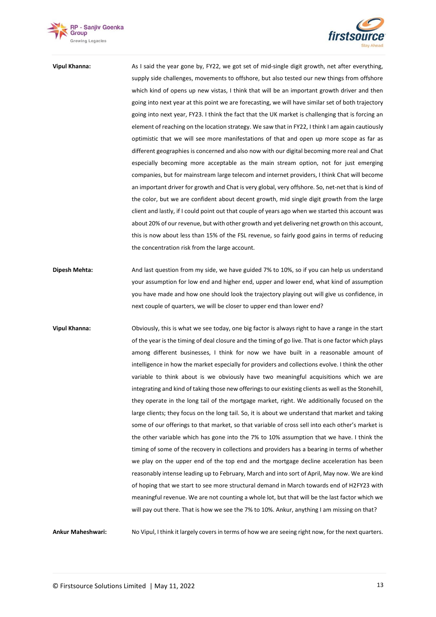



## **Vipul Khanna:** As I said the year gone by, FY22, we got set of mid-single digit growth, net after everything, supply side challenges, movements to offshore, but also tested our new things from offshore which kind of opens up new vistas, I think that will be an important growth driver and then going into next year at this point we are forecasting, we will have similar set of both trajectory going into next year, FY23. I think the fact that the UK market is challenging that is forcing an element of reaching on the location strategy. We saw that in FY22, I think I am again cautiously optimistic that we will see more manifestations of that and open up more scope as far as different geographies is concerned and also now with our digital becoming more real and Chat especially becoming more acceptable as the main stream option, not for just emerging companies, but for mainstream large telecom and internet providers, I think Chat will become an important driver for growth and Chat is very global, very offshore. So, net-net that is kind of the color, but we are confident about decent growth, mid single digit growth from the large client and lastly, if I could point out that couple of years ago when we started this account was about 20% of our revenue, but with other growth and yet delivering net growth on this account, this is now about less than 15% of the FSL revenue, so fairly good gains in terms of reducing the concentration risk from the large account.

- **Dipesh Mehta:** And last question from my side, we have guided 7% to 10%, so if you can help us understand your assumption for low end and higher end, upper and lower end, what kind of assumption you have made and how one should look the trajectory playing out will give us confidence, in next couple of quarters, we will be closer to upper end than lower end?
- **Vipul Khanna:** Obviously, this is what we see today, one big factor is always right to have a range in the start of the year is the timing of deal closure and the timing of go live. That is one factor which plays among different businesses, I think for now we have built in a reasonable amount of intelligence in how the market especially for providers and collections evolve. I think the other variable to think about is we obviously have two meaningful acquisitions which we are integrating and kind of taking those new offerings to our existing clients as well as the Stonehill, they operate in the long tail of the mortgage market, right. We additionally focused on the large clients; they focus on the long tail. So, it is about we understand that market and taking some of our offerings to that market, so that variable of cross sell into each other's market is the other variable which has gone into the 7% to 10% assumption that we have. I think the timing of some of the recovery in collections and providers has a bearing in terms of whether we play on the upper end of the top end and the mortgage decline acceleration has been reasonably intense leading up to February, March and into sort of April, May now. We are kind of hoping that we start to see more structural demand in March towards end of H2FY23 with meaningful revenue. We are not counting a whole lot, but that will be the last factor which we will pay out there. That is how we see the 7% to 10%. Ankur, anything I am missing on that?

**Ankur Maheshwari:** No Vipul, I think it largely covers in terms of how we are seeing right now, for the next quarters.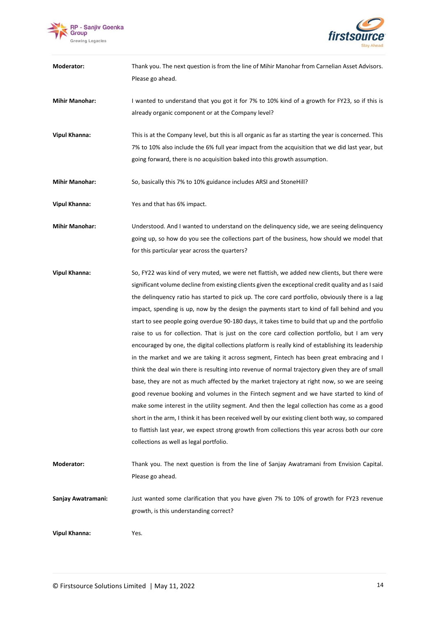



| Moderator:            | Thank you. The next question is from the line of Mihir Manohar from Carnelian Asset Advisors.        |
|-----------------------|------------------------------------------------------------------------------------------------------|
|                       | Please go ahead.                                                                                     |
| <b>Mihir Manohar:</b> | I wanted to understand that you got it for 7% to 10% kind of a growth for FY23, so if this is        |
|                       | already organic component or at the Company level?                                                   |
| <b>Vipul Khanna:</b>  | This is at the Company level, but this is all organic as far as starting the year is concerned. This |
|                       | 7% to 10% also include the 6% full year impact from the acquisition that we did last year, but       |
|                       | going forward, there is no acquisition baked into this growth assumption.                            |
| <b>Mihir Manohar:</b> | So, basically this 7% to 10% guidance includes ARSI and StoneHill?                                   |
| <b>Vipul Khanna:</b>  | Yes and that has 6% impact.                                                                          |
| <b>Mihir Manohar:</b> | Understood. And I wanted to understand on the delinguency side, we are seeing delinguency            |
|                       | going up, so how do you see the collections part of the business, how should we model that           |
|                       | for this particular year across the quarters?                                                        |
| <b>Vipul Khanna:</b>  | So, FY22 was kind of very muted, we were net flattish, we added new clients, but there were          |
|                       | significant volume decline from existing clients given the exceptional credit quality and as I said  |
|                       | the delinguency ratio has started to pick up. The core card portfolio, obviously there is a lag      |
|                       | impact, spending is up, now by the design the payments start to kind of fall behind and you          |
|                       | start to see people going overdue 90-180 days, it takes time to build that up and the portfolio      |
|                       | raise to us for collection. That is just on the core card collection portfolio, but I am very        |
|                       | encouraged by one, the digital collections platform is really kind of establishing its leadership    |
|                       | in the market and we are taking it across segment, Fintech has been great embracing and I            |
|                       | think the deal win there is resulting into revenue of normal trajectory given they are of small      |
|                       | base, they are not as much affected by the market trajectory at right now, so we are seeing          |
|                       | good revenue booking and volumes in the Fintech segment and we have started to kind of               |
|                       | make some interest in the utility segment. And then the legal collection has come as a good          |
|                       | short in the arm, I think it has been received well by our existing client both way, so compared     |
|                       | to flattish last year, we expect strong growth from collections this year across both our core       |
|                       | collections as well as legal portfolio.                                                              |
| Moderator:            | Thank you. The next question is from the line of Sanjay Awatramani from Envision Capital.            |
|                       | Please go ahead.                                                                                     |

**Sanjay Awatramani:** Just wanted some clarification that you have given 7% to 10% of growth for FY23 revenue growth, is this understanding correct?

**Vipul Khanna:** Yes.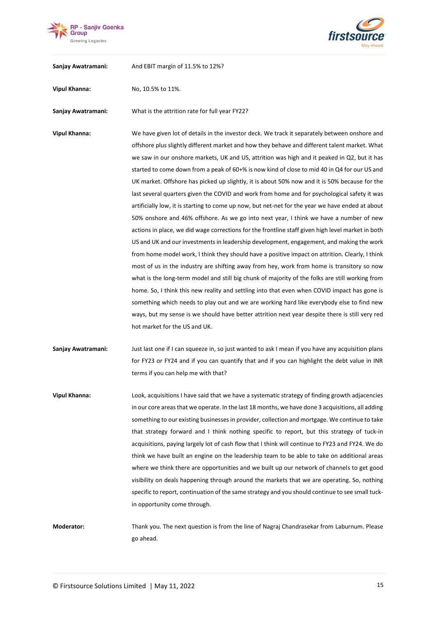



**Sanjay Awatramani:** And EBIT margin of 11.5% to 12%?

**Vipul Khanna:** No, 10.5% to 11%.

**Sanjay Awatramani:** What is the attrition rate for full year FY22?

**Vipul Khanna:** We have given lot of details in the investor deck. We track it separately between onshore and offshore plus slightly different market and how they behave and different talent market. What we saw in our onshore markets, UK and US, attrition was high and it peaked in Q2, but it has started to come down from a peak of 60+% is now kind of close to mid 40 in Q4 for our US and UK market. Offshore has picked up slightly, it is about 50% now and it is 50% because for the last several quarters given the COVID and work from home and for psychological safety it was artificially low, it is starting to come up now, but net-net for the year we have ended at about 50% onshore and 46% offshore. As we go into next year, I think we have a number of new actions in place, we did wage corrections for the frontline staff given high level market in both US and UK and our investments in leadership development, engagement, and making the work from home model work, I think they should have a positive impact on attrition. Clearly, I think most of us in the industry are shifting away from hey, work from home is transitory so now what is the long-term model and still big chunk of majority of the folks are still working from home. So, I think this new reality and settling into that even when COVID impact has gone is something which needs to play out and we are working hard like everybody else to find new ways, but my sense is we should have better attrition next year despite there is still very red hot market for the US and UK.

**Sanjay Awatramani:** Just last one if I can squeeze in, so just wanted to ask I mean if you have any acquisition plans for FY23 or FY24 and if you can quantify that and if you can highlight the debt value in INR terms if you can help me with that?

**Vipul Khanna:** Look, acquisitions I have said that we have a systematic strategy of finding growth adjacencies in our core areas that we operate. In the last 18 months, we have done 3 acquisitions, all adding something to our existing businesses in provider, collection and mortgage. We continue to take that strategy forward and I think nothing specific to report, but this strategy of tuck-in acquisitions, paying largely lot of cash flow that I think will continue to FY23 and FY24. We do think we have built an engine on the leadership team to be able to take on additional areas where we think there are opportunities and we built up our network of channels to get good visibility on deals happening through around the markets that we are operating. So, nothing specific to report, continuation of the same strategy and you should continue to see small tuckin opportunity come through.

**Moderator:** Thank you. The next question is from the line of Nagraj Chandrasekar from Laburnum. Please go ahead.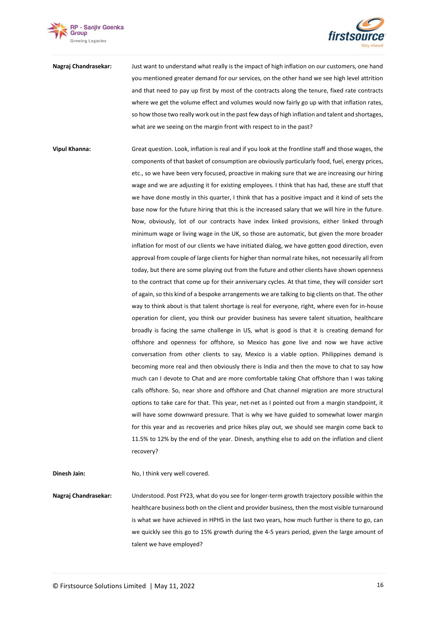



**Nagraj Chandrasekar:** Just want to understand what really is the impact of high inflation on our customers, one hand you mentioned greater demand for our services, on the other hand we see high level attrition and that need to pay up first by most of the contracts along the tenure, fixed rate contracts where we get the volume effect and volumes would now fairly go up with that inflation rates, so how those two really work out in the past few days of high inflation and talent and shortages, what are we seeing on the margin front with respect to in the past?

**Vipul Khanna:** Great question. Look, inflation is real and if you look at the frontline staff and those wages, the components of that basket of consumption are obviously particularly food, fuel, energy prices, etc., so we have been very focused, proactive in making sure that we are increasing our hiring wage and we are adjusting it for existing employees. I think that has had, these are stuff that we have done mostly in this quarter, I think that has a positive impact and it kind of sets the base now for the future hiring that this is the increased salary that we will hire in the future. Now, obviously, lot of our contracts have index linked provisions, either linked through minimum wage or living wage in the UK, so those are automatic, but given the more broader inflation for most of our clients we have initiated dialog, we have gotten good direction, even approval from couple of large clients for higher than normal rate hikes, not necessarily all from today, but there are some playing out from the future and other clients have shown openness to the contract that come up for their anniversary cycles. At that time, they will consider sort of again, so this kind of a bespoke arrangements we are talking to big clients on that. The other way to think about is that talent shortage is real for everyone, right, where even for in-house operation for client, you think our provider business has severe talent situation, healthcare broadly is facing the same challenge in US, what is good is that it is creating demand for offshore and openness for offshore, so Mexico has gone live and now we have active conversation from other clients to say, Mexico is a viable option. Philippines demand is becoming more real and then obviously there is India and then the move to chat to say how much can I devote to Chat and are more comfortable taking Chat offshore than I was taking calls offshore. So, near shore and offshore and Chat channel migration are more structural options to take care for that. This year, net-net as I pointed out from a margin standpoint, it will have some downward pressure. That is why we have guided to somewhat lower margin for this year and as recoveries and price hikes play out, we should see margin come back to 11.5% to 12% by the end of the year. Dinesh, anything else to add on the inflation and client recovery?

**Dinesh Jain:** No, I think very well covered.

**Nagraj Chandrasekar:** Understood. Post FY23, what do you see for longer-term growth trajectory possible within the healthcare business both on the client and provider business, then the most visible turnaround is what we have achieved in HPHS in the last two years, how much further is there to go, can we quickly see this go to 15% growth during the 4-5 years period, given the large amount of talent we have employed?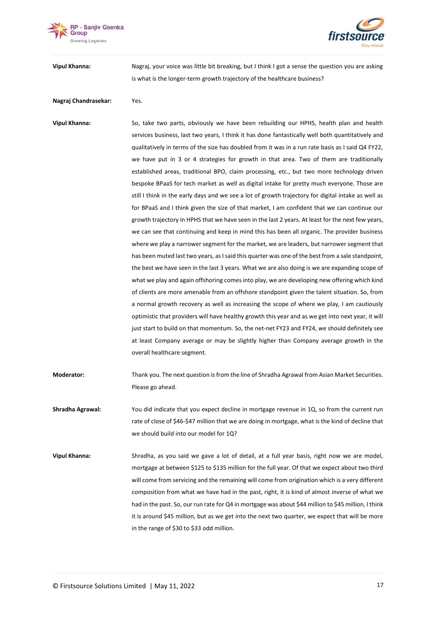



**Vipul Khanna:** Nagraj, your voice was little bit breaking, but I think I got a sense the question you are asking is what is the longer-term growth trajectory of the healthcare business?

## **Nagraj Chandrasekar:** Yes.

**Vipul Khanna:** So, take two parts, obviously we have been rebuilding our HPHS, health plan and health services business, last two years, I think it has done fantastically well both quantitatively and qualitatively in terms of the size has doubled from it was in a run rate basis as I said Q4 FY22, we have put in 3 or 4 strategies for growth in that area. Two of them are traditionally established areas, traditional BPO, claim processing, etc., but two more technology driven bespoke BPaaS for tech market as well as digital intake for pretty much everyone. Those are still I think in the early days and we see a lot of growth trajectory for digital intake as well as for BPaaS and I think given the size of that market, I am confident that we can continue our growth trajectory in HPHS that we have seen in the last 2 years. At least for the next few years, we can see that continuing and keep in mind this has been all organic. The provider business where we play a narrower segment for the market, we are leaders, but narrower segment that has been muted last two years, as I said this quarter was one of the best from a sale standpoint, the best we have seen in the last 3 years. What we are also doing is we are expanding scope of what we play and again offshoring comes into play, we are developing new offering which kind of clients are more amenable from an offshore standpoint given the talent situation. So, from a normal growth recovery as well as increasing the scope of where we play, I am cautiously optimistic that providers will have healthy growth this year and as we get into next year, it will just start to build on that momentum. So, the net-net FY23 and FY24, we should definitely see at least Company average or may be slightly higher than Company average growth in the overall healthcare segment.

- **Moderator:** Thank you. The next question is from the line of Shradha Agrawal from Asian Market Securities. Please go ahead.
- **Shradha Agrawal:** You did indicate that you expect decline in mortgage revenue in 1Q, so from the current run rate of close of \$46-\$47 million that we are doing in mortgage, what is the kind of decline that we should build into our model for 1Q?
- **Vipul Khanna:** Shradha, as you said we gave a lot of detail, at a full year basis, right now we are model, mortgage at between \$125 to \$135 million for the full year. Of that we expect about two third will come from servicing and the remaining will come from origination which is a very different composition from what we have had in the past, right, it is kind of almost inverse of what we had in the past. So, our run rate for Q4 in mortgage was about \$44 million to \$45 million, I think it is around \$45 million, but as we get into the next two quarter, we expect that will be more in the range of \$30 to \$33 odd million.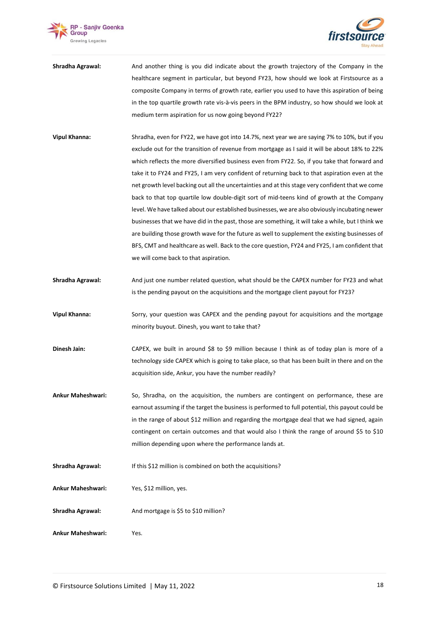



- **Shradha Agrawal:** And another thing is you did indicate about the growth trajectory of the Company in the healthcare segment in particular, but beyond FY23, how should we look at Firstsource as a composite Company in terms of growth rate, earlier you used to have this aspiration of being in the top quartile growth rate vis-à-vis peers in the BPM industry, so how should we look at medium term aspiration for us now going beyond FY22?
- **Vipul Khanna:** Shradha, even for FY22, we have got into 14.7%, next year we are saying 7% to 10%, but if you exclude out for the transition of revenue from mortgage as I said it will be about 18% to 22% which reflects the more diversified business even from FY22. So, if you take that forward and take it to FY24 and FY25, I am very confident of returning back to that aspiration even at the net growth level backing out all the uncertainties and at this stage very confident that we come back to that top quartile low double-digit sort of mid-teens kind of growth at the Company level. We have talked about our established businesses, we are also obviously incubating newer businesses that we have did in the past, those are something, it will take a while, but I think we are building those growth wave for the future as well to supplement the existing businesses of BFS, CMT and healthcare as well. Back to the core question, FY24 and FY25, I am confident that we will come back to that aspiration.
- **Shradha Agrawal:** And just one number related question, what should be the CAPEX number for FY23 and what is the pending payout on the acquisitions and the mortgage client payout for FY23?
- **Vipul Khanna:** Sorry, your question was CAPEX and the pending payout for acquisitions and the mortgage minority buyout. Dinesh, you want to take that?
- **Dinesh Jain:** CAPEX, we built in around \$8 to \$9 million because I think as of today plan is more of a technology side CAPEX which is going to take place, so that has been built in there and on the acquisition side, Ankur, you have the number readily?
- **Ankur Maheshwari:** So, Shradha, on the acquisition, the numbers are contingent on performance, these are earnout assuming if the target the business is performed to full potential, this payout could be in the range of about \$12 million and regarding the mortgage deal that we had signed, again contingent on certain outcomes and that would also I think the range of around \$5 to \$10 million depending upon where the performance lands at.
- **Shradha Agrawal:** If this \$12 million is combined on both the acquisitions?
- **Ankur Maheshwari:** Yes, \$12 million, yes.
- **Shradha Agrawal:** And mortgage is \$5 to \$10 million?
- **Ankur Maheshwari:** Yes.